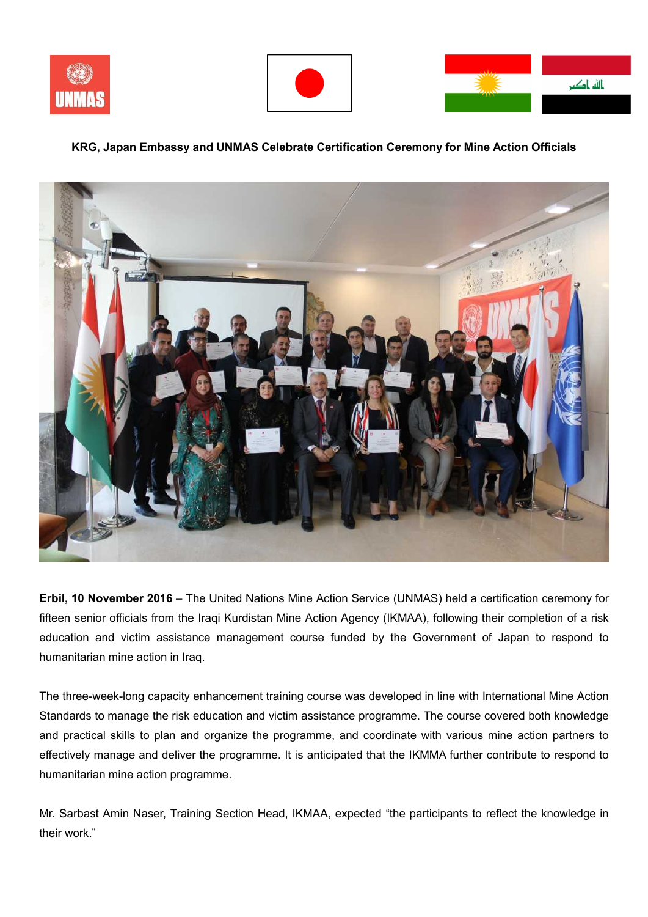





## **KRG, Japan Embassy and UNMAS Celebrate Certification Ceremony for Mine Action Officials**



**Erbil, 10 November 2016** – The United Nations Mine Action Service (UNMAS) held a certification ceremony for fifteen senior officials from the Iraqi Kurdistan Mine Action Agency (IKMAA), following their completion of a risk education and victim assistance management course funded by the Government of Japan to respond to humanitarian mine action in Iraq.

The three-week-long capacity enhancement training course was developed in line with International Mine Action Standards to manage the risk education and victim assistance programme. The course covered both knowledge and practical skills to plan and organize the programme, and coordinate with various mine action partners to effectively manage and deliver the programme. It is anticipated that the IKMMA further contribute to respond to humanitarian mine action programme.

Mr. Sarbast Amin Naser, Training Section Head, IKMAA, expected "the participants to reflect the knowledge in their work."